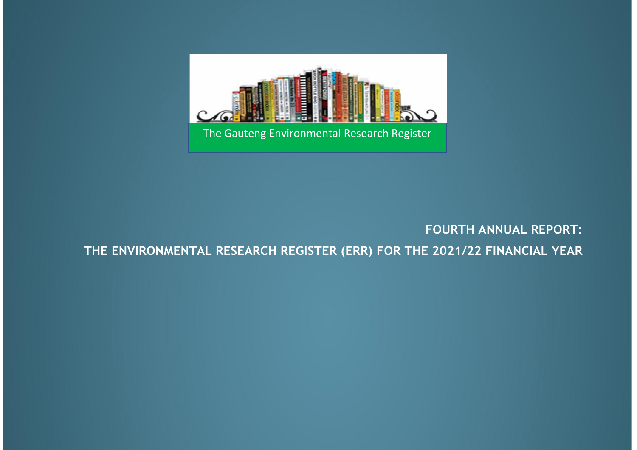

# **FOURTH ANNUAL REPORT:**

**THE ENVIRONMENTAL RESEARCH REGISTER (ERR) FOR THE 2021/22 FINANCIAL YEAR**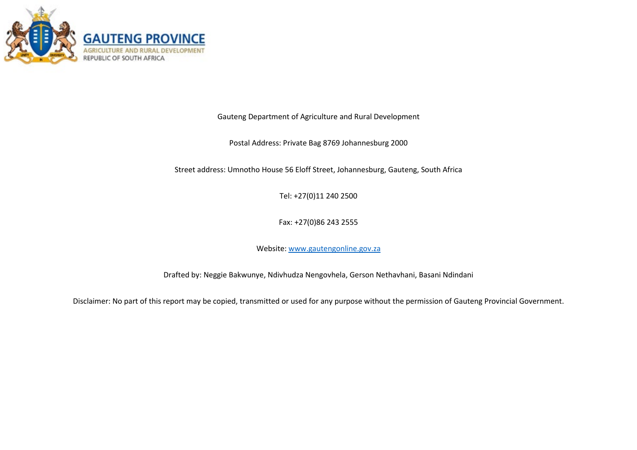

Gauteng Department of Agriculture and Rural Development

Postal Address: Private Bag 8769 Johannesburg 2000

Street address: Umnotho House 56 Eloff Street, Johannesburg, Gauteng, South Africa

Tel: +27(0)11 240 2500

Fax: +27(0)86 243 2555

Website: [www.gautengonline.gov.za](http://www.gautengonline.gov.za/)

Drafted by: Neggie Bakwunye, Ndivhudza Nengovhela, Gerson Nethavhani, Basani Ndindani

Disclaimer: No part of this report may be copied, transmitted or used for any purpose without the permission of Gauteng Provincial Government.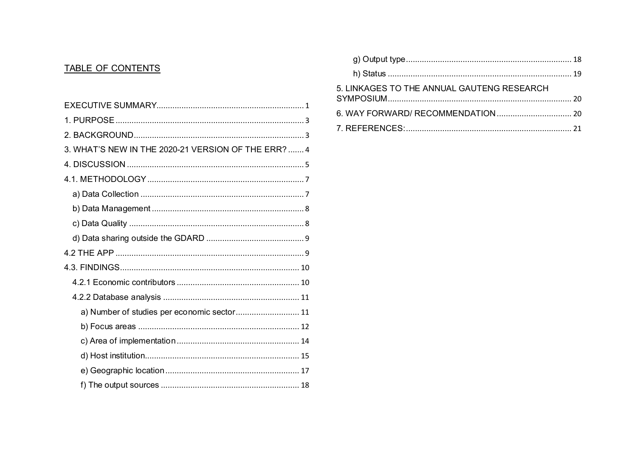# TABLE OF CONTENTS

| 3. WHAT'S NEW IN THE 2020-21 VERSION OF THE ERR?  4 |  |
|-----------------------------------------------------|--|
|                                                     |  |
|                                                     |  |
|                                                     |  |
|                                                     |  |
|                                                     |  |
|                                                     |  |
|                                                     |  |
|                                                     |  |
|                                                     |  |
|                                                     |  |
| a) Number of studies per economic sector 11         |  |
|                                                     |  |
|                                                     |  |
|                                                     |  |
|                                                     |  |
|                                                     |  |

| 5. LINKAGES TO THE ANNUAL GAUTENG RESEARCH |  |
|--------------------------------------------|--|
|                                            |  |
|                                            |  |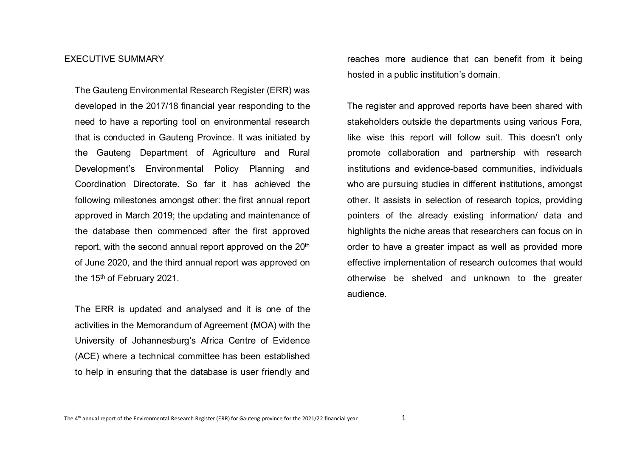#### <span id="page-3-0"></span>EXECUTIVE SUMMARY

The Gauteng Environmental Research Register (ERR) was developed in the 2017/18 financial year responding to the need to have a reporting tool on environmental research that is conducted in Gauteng Province. It was initiated by the Gauteng Department of Agriculture and Rural Development's Environmental Policy Planning and Coordination Directorate. So far it has achieved the following milestones amongst other: the first annual report approved in March 2019; the updating and maintenance of the database then commenced after the first approved report, with the second annual report approved on the 20<sup>th</sup> of June 2020, and the third annual report was approved on the 15<sup>th</sup> of February 2021.

The ERR is updated and analysed and it is one of the activities in the Memorandum of Agreement (MOA) with the University of Johannesburg's Africa Centre of Evidence (ACE) where a technical committee has been established to help in ensuring that the database is user friendly and

reaches more audience that can benefit from it being hosted in a public institution's domain.

The register and approved reports have been shared with stakeholders outside the departments using various Fora, like wise this report will follow suit. This doesn't only promote collaboration and partnership with research institutions and evidence-based communities, individuals who are pursuing studies in different institutions, amongst other. It assists in selection of research topics, providing pointers of the already existing information/ data and highlights the niche areas that researchers can focus on in order to have a greater impact as well as provided more effective implementation of research outcomes that would otherwise be shelved and unknown to the greater audience.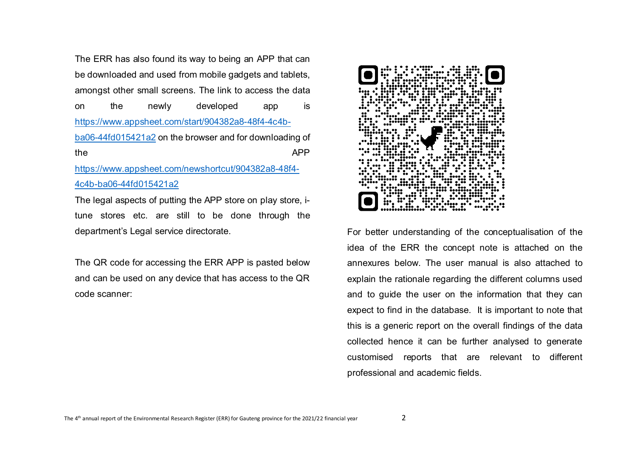The ERR has also found its way to being an APP that can be downloaded and used from mobile gadgets and tablets, amongst other small screens. The link to access the data on the newly developed app is [https://www.appsheet.com/start/904382a8-48f4-4c4b](https://www.appsheet.com/start/904382a8-48f4-4c4b-ba06-44fd015421a2)[ba06-44fd015421a2](https://www.appsheet.com/start/904382a8-48f4-4c4b-ba06-44fd015421a2) on the browser and for downloading of the APP [https://www.appsheet.com/newshortcut/904382a8-48f4-](https://www.appsheet.com/newshortcut/904382a8-48f4-4c4b-ba06-44fd015421a2) [4c4b-ba06-44fd015421a2](https://www.appsheet.com/newshortcut/904382a8-48f4-4c4b-ba06-44fd015421a2)

The legal aspects of putting the APP store on play store, itune stores etc. are still to be done through the department's Legal service directorate.

The QR code for accessing the ERR APP is pasted below and can be used on any device that has access to the QR code scanner:



For better understanding of the conceptualisation of the idea of the ERR the concept note is attached on the annexures below. The user manual is also attached to explain the rationale regarding the different columns used and to guide the user on the information that they can expect to find in the database. It is important to note that this is a generic report on the overall findings of the data collected hence it can be further analysed to generate customised reports that are relevant to different professional and academic fields.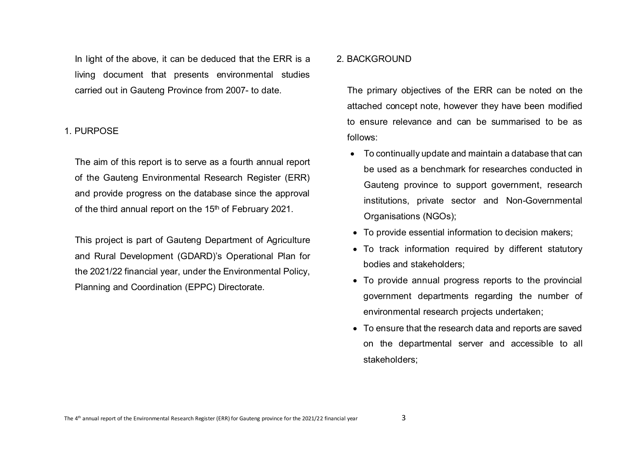In light of the above, it can be deduced that the ERR is a living document that presents environmental studies carried out in Gauteng Province from 2007- to date.

### <span id="page-5-0"></span>1. PURPOSE

The aim of this report is to serve as a fourth annual report of the Gauteng Environmental Research Register (ERR) and provide progress on the database since the approval of the third annual report on the 15<sup>th</sup> of February 2021.

This project is part of Gauteng Department of Agriculture and Rural Development (GDARD)'s Operational Plan for the 2021/22 financial year, under the Environmental Policy, Planning and Coordination (EPPC) Directorate.

# <span id="page-5-1"></span>2. BACKGROUND

The primary objectives of the ERR can be noted on the attached concept note, however they have been modified to ensure relevance and can be summarised to be as follows:

- To continually update and maintain a database that can be used as a benchmark for researches conducted in Gauteng province to support government, research institutions, private sector and Non-Governmental Organisations (NGOs);
- To provide essential information to decision makers;
- To track information required by different statutory bodies and stakeholders;
- To provide annual progress reports to the provincial government departments regarding the number of environmental research projects undertaken;
- To ensure that the research data and reports are saved on the departmental server and accessible to all stakeholders;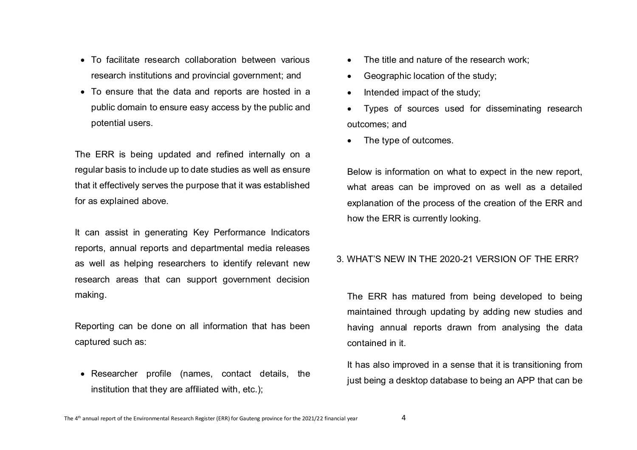- To facilitate research collaboration between various research institutions and provincial government; and
- To ensure that the data and reports are hosted in a public domain to ensure easy access by the public and potential users.

The ERR is being updated and refined internally on a regular basis to include up to date studies as well as ensure that it effectively serves the purpose that it was established for as explained above.

It can assist in generating Key Performance Indicators reports, annual reports and departmental media releases as well as helping researchers to identify relevant new research areas that can support government decision making.

Reporting can be done on all information that has been captured such as:

• Researcher profile (names, contact details, the institution that they are affiliated with, etc.);

- The title and nature of the research work;
- Geographic location of the study;
- Intended impact of the study;
- Types of sources used for disseminating research outcomes; and
- The type of outcomes.

Below is information on what to expect in the new report, what areas can be improved on as well as a detailed explanation of the process of the creation of the ERR and how the ERR is currently looking.

# <span id="page-6-0"></span>3. WHAT'S NEW IN THE 2020-21 VERSION OF THE ERR?

The ERR has matured from being developed to being maintained through updating by adding new studies and having annual reports drawn from analysing the data contained in it.

It has also improved in a sense that it is transitioning from just being a desktop database to being an APP that can be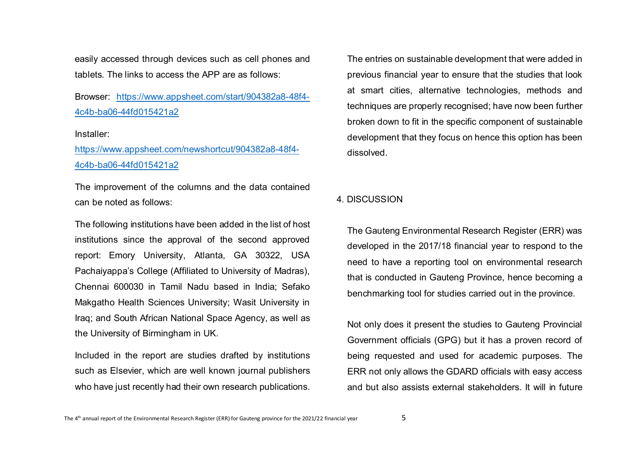easily accessed through devices such as cell phones and tablets. The links to access the APP are as follows:

Browser: [https://www.appsheet.com/start/904382a8-48f4-](https://www.appsheet.com/start/904382a8-48f4-4c4b-ba06-44fd015421a2) [4c4b-ba06-44fd015421a2](https://www.appsheet.com/start/904382a8-48f4-4c4b-ba06-44fd015421a2)

#### Installer:

[https://www.appsheet.com/newshortcut/904382a8-48f4-](https://www.appsheet.com/newshortcut/904382a8-48f4-4c4b-ba06-44fd015421a2) [4c4b-ba06-44fd015421a2](https://www.appsheet.com/newshortcut/904382a8-48f4-4c4b-ba06-44fd015421a2)

The improvement of the columns and the data contained can be noted as follows:

The following institutions have been added in the list of host institutions since the approval of the second approved report: Emory University, Atlanta, GA 30322, USA Pachaiyappa's College (Affiliated to University of Madras), Chennai 600030 in Tamil Nadu based in India; Sefako Makgatho Health Sciences University; Wasit University in Iraq; and South African National Space Agency, as well as the University of Birmingham in UK.

Included in the report are studies drafted by institutions such as Elsevier, which are well known journal publishers who have just recently had their own research publications.

The entries on sustainable development that were added in previous financial year to ensure that the studies that look at smart cities, alternative technologies, methods and techniques are properly recognised; have now been further broken down to fit in the specific component of sustainable development that they focus on hence this option has been dissolved.

#### <span id="page-7-0"></span>4. DISCUSSION

The Gauteng Environmental Research Register (ERR) was developed in the 2017/18 financial year to respond to the need to have a reporting tool on environmental research that is conducted in Gauteng Province, hence becoming a benchmarking tool for studies carried out in the province.

Not only does it present the studies to Gauteng Provincial Government officials (GPG) but it has a proven record of being requested and used for academic purposes. The ERR not only allows the GDARD officials with easy access and but also assists external stakeholders. It will in future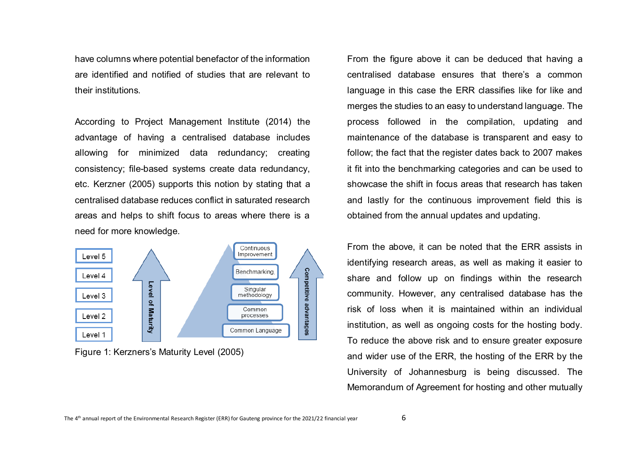have columns where potential benefactor of the information are identified and notified of studies that are relevant to their institutions.

According to Project Management Institute (2014) the advantage of having a centralised database includes allowing for minimized data redundancy; creating consistency; file-based systems create data redundancy, etc. Kerzner (2005) supports this notion by stating that a centralised database reduces conflict in saturated research areas and helps to shift focus to areas where there is a need for more knowledge.



Figure 1: Kerzners's Maturity Level (2005)

From the figure above it can be deduced that having a centralised database ensures that there's a common language in this case the ERR classifies like for like and merges the studies to an easy to understand language. The process followed in the compilation, updating and maintenance of the database is transparent and easy to follow; the fact that the register dates back to 2007 makes it fit into the benchmarking categories and can be used to showcase the shift in focus areas that research has taken and lastly for the continuous improvement field this is obtained from the annual updates and updating.

From the above, it can be noted that the ERR assists in identifying research areas, as well as making it easier to share and follow up on findings within the research community. However, any centralised database has the risk of loss when it is maintained within an individual institution, as well as ongoing costs for the hosting body. To reduce the above risk and to ensure greater exposure and wider use of the ERR, the hosting of the ERR by the University of Johannesburg is being discussed. The Memorandum of Agreement for hosting and other mutually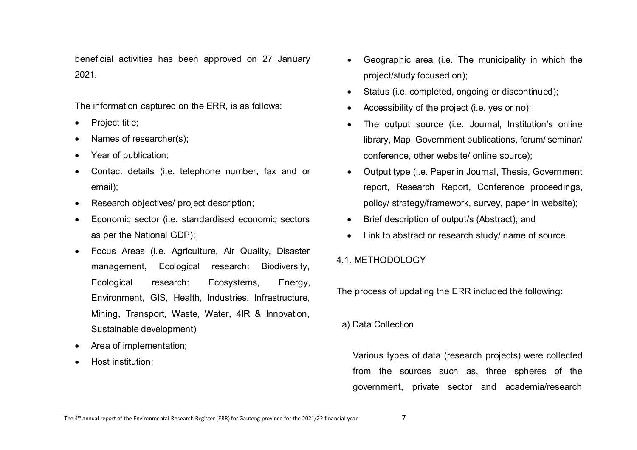beneficial activities has been approved on 27 January 2021.

The information captured on the ERR, is as follows:

- Project title:
- Names of researcher(s);
- Year of publication:
- Contact details (i.e. telephone number, fax and or email);
- Research objectives/ project description;
- Economic sector (i.e. standardised economic sectors as per the National GDP);
- Focus Areas (i.e. Agriculture, Air Quality, Disaster management, Ecological research: Biodiversity, Ecological research: Ecosystems, Energy, Environment, GIS, Health, Industries, Infrastructure, Mining, Transport, Waste, Water, 4IR & Innovation, Sustainable development)
- Area of implementation;
- Host institution;
- Geographic area (i.e. The municipality in which the project/study focused on);
- Status (i.e. completed, ongoing or discontinued);
- Accessibility of the project (i.e. yes or no);
- The output source (i.e. Journal, Institution's online library, Map, Government publications, forum/ seminar/ conference, other website/ online source);
- Output type (i.e. Paper in Journal, Thesis, Government report, Research Report, Conference proceedings, policy/ strategy/framework, survey, paper in website);
- Brief description of output/s (Abstract); and
- Link to abstract or research study/ name of source.

# <span id="page-9-0"></span>4.1. METHODOLOGY

The process of updating the ERR included the following:

<span id="page-9-1"></span>a) Data Collection

Various types of data (research projects) were collected from the sources such as, three spheres of the government, private sector and academia/research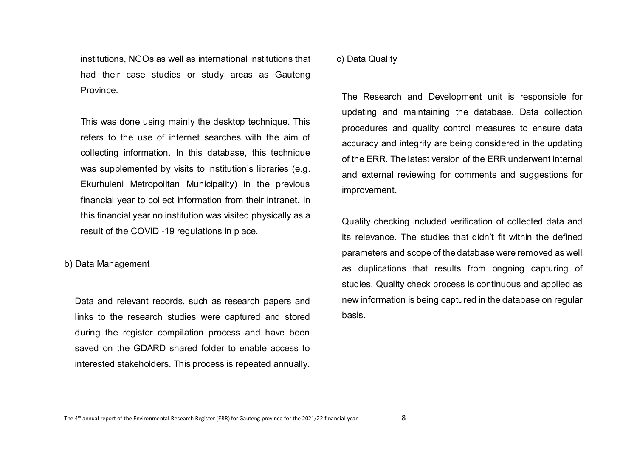institutions, NGOs as well as international institutions that had their case studies or study areas as Gauteng **Province** 

This was done using mainly the desktop technique. This refers to the use of internet searches with the aim of collecting information. In this database, this technique was supplemented by visits to institution's libraries (e.g. Ekurhuleni Metropolitan Municipality) in the previous financial year to collect information from their intranet. In this financial year no institution was visited physically as a result of the COVID -19 regulations in place.

<span id="page-10-0"></span>b) Data Management

Data and relevant records, such as research papers and links to the research studies were captured and stored during the register compilation process and have been saved on the GDARD shared folder to enable access to interested stakeholders. This process is repeated annually.

<span id="page-10-1"></span>c) Data Quality

The Research and Development unit is responsible for updating and maintaining the database. Data collection procedures and quality control measures to ensure data accuracy and integrity are being considered in the updating of the ERR. The latest version of the ERR underwent internal and external reviewing for comments and suggestions for improvement.

Quality checking included verification of collected data and its relevance. The studies that didn't fit within the defined parameters and scope of the database were removed as well as duplications that results from ongoing capturing of studies. Quality check process is continuous and applied as new information is being captured in the database on regular basis.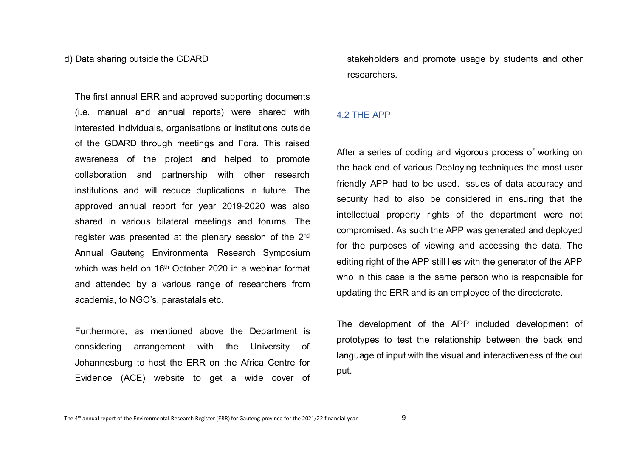#### <span id="page-11-0"></span>d) Data sharing outside the GDARD

The first annual ERR and approved supporting documents (i.e. manual and annual reports) were shared with interested individuals, organisations or institutions outside of the GDARD through meetings and Fora. This raised awareness of the project and helped to promote collaboration and partnership with other research institutions and will reduce duplications in future. The approved annual report for year 2019-2020 was also shared in various bilateral meetings and forums. The register was presented at the plenary session of the 2nd Annual Gauteng Environmental Research Symposium which was held on  $16<sup>th</sup>$  October 2020 in a webinar format and attended by a various range of researchers from academia, to NGO's, parastatals etc.

Furthermore, as mentioned above the Department is considering arrangement with the University of Johannesburg to host the ERR on the Africa Centre for Evidence (ACE) website to get a wide cover of stakeholders and promote usage by students and other researchers.

#### <span id="page-11-1"></span>4.2 THE APP

After a series of coding and vigorous process of working on the back end of various Deploying techniques the most user friendly APP had to be used. Issues of data accuracy and security had to also be considered in ensuring that the intellectual property rights of the department were not compromised. As such the APP was generated and deployed for the purposes of viewing and accessing the data. The editing right of the APP still lies with the generator of the APP who in this case is the same person who is responsible for updating the ERR and is an employee of the directorate.

The development of the APP included development of prototypes to test the relationship between the back end language of input with the visual and interactiveness of the out put.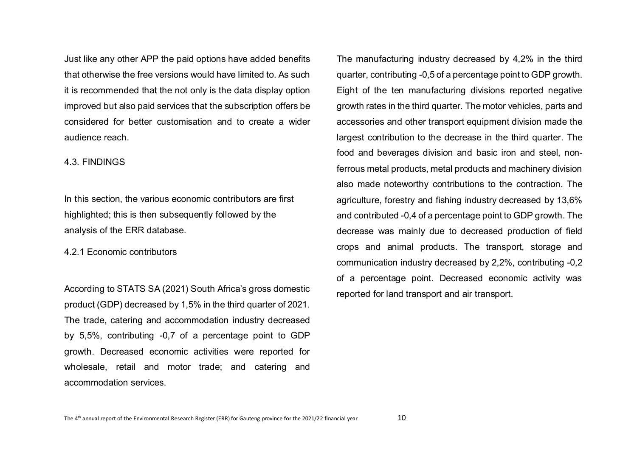Just like any other APP the paid options have added benefits that otherwise the free versions would have limited to. As such it is recommended that the not only is the data display option improved but also paid services that the subscription offers be considered for better customisation and to create a wider audience reach.

#### <span id="page-12-0"></span>4.3. FINDINGS

In this section, the various economic contributors are first highlighted; this is then subsequently followed by the analysis of the ERR database.

<span id="page-12-1"></span>4.2.1 Economic contributors

According to STATS SA (2021) South Africa's gross domestic product (GDP) decreased by 1,5% in the third quarter of 2021. The trade, catering and accommodation industry decreased by 5,5%, contributing -0,7 of a percentage point to GDP growth. Decreased economic activities were reported for wholesale, retail and motor trade; and catering and accommodation services.

The manufacturing industry decreased by 4,2% in the third quarter, contributing -0,5 of a percentage point to GDP growth. Eight of the ten manufacturing divisions reported negative growth rates in the third quarter. The motor vehicles, parts and accessories and other transport equipment division made the largest contribution to the decrease in the third quarter. The food and beverages division and basic iron and steel, nonferrous metal products, metal products and machinery division also made noteworthy contributions to the contraction. The agriculture, forestry and fishing industry decreased by 13,6% and contributed -0,4 of a percentage point to GDP growth. The decrease was mainly due to decreased production of field crops and animal products. The transport, storage and communication industry decreased by 2,2%, contributing -0,2 of a percentage point. Decreased economic activity was reported for land transport and air transport.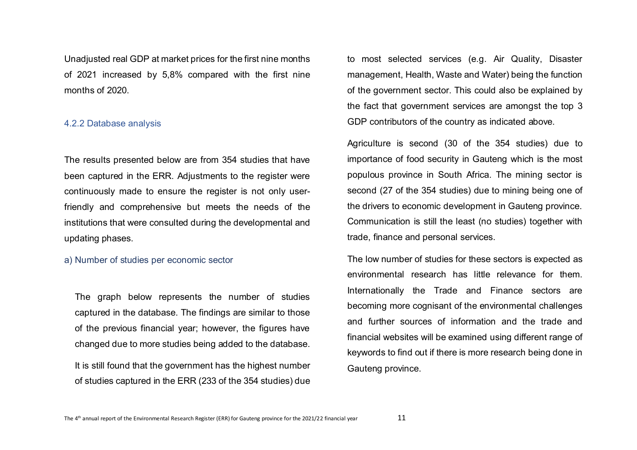Unadjusted real GDP at market prices for the first nine months of 2021 increased by 5,8% compared with the first nine months of 2020.

#### <span id="page-13-0"></span>4.2.2 Database analysis

The results presented below are from 354 studies that have been captured in the ERR. Adjustments to the register were continuously made to ensure the register is not only userfriendly and comprehensive but meets the needs of the institutions that were consulted during the developmental and updating phases.

#### <span id="page-13-1"></span>a) Number of studies per economic sector

The graph below represents the number of studies captured in the database. The findings are similar to those of the previous financial year; however, the figures have changed due to more studies being added to the database.

It is still found that the government has the highest number of studies captured in the ERR (233 of the 354 studies) due

to most selected services (e.g. Air Quality, Disaster management, Health, Waste and Water) being the function of the government sector. This could also be explained by the fact that government services are amongst the top 3 GDP contributors of the country as indicated above.

Agriculture is second (30 of the 354 studies) due to importance of food security in Gauteng which is the most populous province in South Africa. The mining sector is second (27 of the 354 studies) due to mining being one of the drivers to economic development in Gauteng province. Communication is still the least (no studies) together with trade, finance and personal services.

The low number of studies for these sectors is expected as environmental research has little relevance for them. Internationally the Trade and Finance sectors are becoming more cognisant of the environmental challenges and further sources of information and the trade and financial websites will be examined using different range of keywords to find out if there is more research being done in Gauteng province.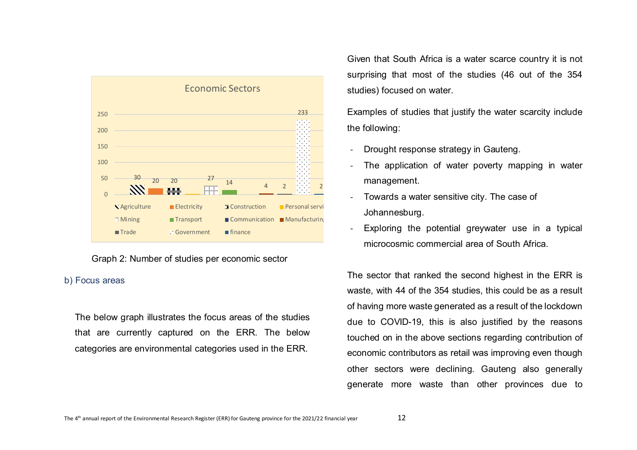

### Graph 2: Number of studies per economic sector

## <span id="page-14-0"></span>b) Focus areas

The below graph illustrates the focus areas of the studies that are currently captured on the ERR. The below categories are environmental categories used in the ERR.

Given that South Africa is a water scarce country it is not surprising that most of the studies (46 out of the 354 studies) focused on water.

Examples of studies that justify the water scarcity include the following:

- Drought response strategy in Gauteng.
- The application of water poverty mapping in water management.
- Towards a water sensitive city. The case of Johannesburg.
- Exploring the potential greywater use in a typical microcosmic commercial area of South Africa.

The sector that ranked the second highest in the ERR is waste, with 44 of the 354 studies, this could be as a result of having more waste generated as a result of the lockdown due to COVID-19, this is also justified by the reasons touched on in the above sections regarding contribution of economic contributors as retail was improving even though other sectors were declining. Gauteng also generally generate more waste than other provinces due to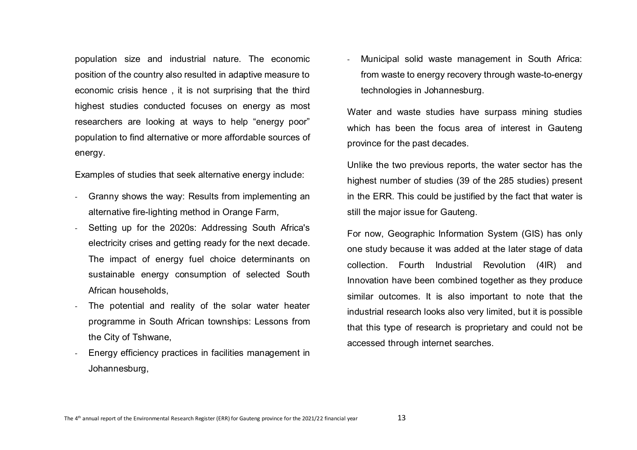population size and industrial nature. The economic position of the country also resulted in adaptive measure to economic crisis hence , it is not surprising that the third highest studies conducted focuses on energy as most researchers are looking at ways to help "energy poor" population to find alternative or more affordable sources of energy.

Examples of studies that seek alternative energy include:

- Granny shows the way: Results from implementing an alternative fire-lighting method in Orange Farm,
- Setting up for the 2020s: Addressing South Africa's electricity crises and getting ready for the next decade. The impact of energy fuel choice determinants on sustainable energy consumption of selected South African households,
- The potential and reality of the solar water heater programme in South African townships: Lessons from the City of Tshwane,
- Energy efficiency practices in facilities management in Johannesburg,

- Municipal solid waste management in South Africa: from waste to energy recovery through waste-to-energy technologies in Johannesburg.

Water and waste studies have surpass mining studies which has been the focus area of interest in Gauteng province for the past decades.

Unlike the two previous reports, the water sector has the highest number of studies (39 of the 285 studies) present in the ERR. This could be justified by the fact that water is still the major issue for Gauteng.

For now, Geographic Information System (GIS) has only one study because it was added at the later stage of data collection. Fourth Industrial Revolution (4IR) and Innovation have been combined together as they produce similar outcomes. It is also important to note that the industrial research looks also very limited, but it is possible that this type of research is proprietary and could not be accessed through internet searches.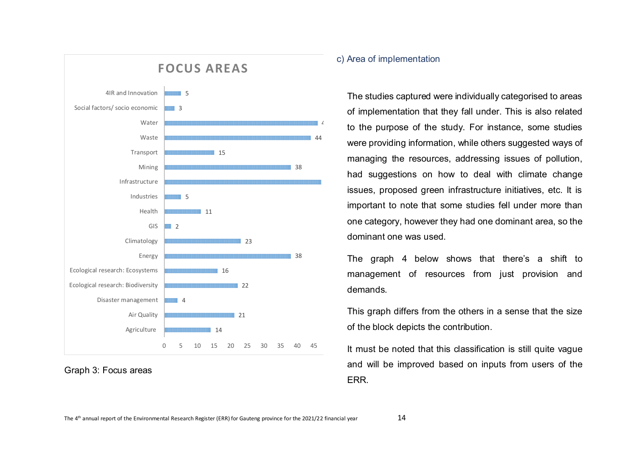



# <span id="page-16-0"></span>c) Area of implementation

The studies captured were individually categorised to areas of implementation that they fall under. This is also related to the purpose of the study. For instance, some studies were providing information, while others suggested ways of managing the resources, addressing issues of pollution, had suggestions on how to deal with climate change issues, proposed green infrastructure initiatives, etc. It is important to note that some studies fell under more than one category, however they had one dominant area, so the dominant one was used.

The graph 4 below shows that there's a shift to management of resources from just provision and demands.

This graph differs from the others in a sense that the size of the block depicts the contribution.

It must be noted that this classification is still quite vague and will be improved based on inputs from users of the ERR.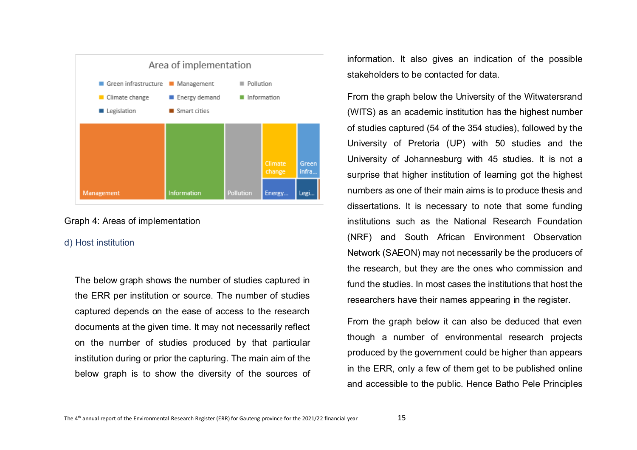

Graph 4: Areas of implementation

#### <span id="page-17-0"></span>d) Host institution

The below graph shows the number of studies captured in the ERR per institution or source. The number of studies captured depends on the ease of access to the research documents at the given time. It may not necessarily reflect on the number of studies produced by that particular institution during or prior the capturing. The main aim of the below graph is to show the diversity of the sources of information. It also gives an indication of the possible stakeholders to be contacted for data.

From the graph below the University of the Witwatersrand (WITS) as an academic institution has the highest number of studies captured (54 of the 354 studies), followed by the University of Pretoria (UP) with 50 studies and the University of Johannesburg with 45 studies. It is not a surprise that higher institution of learning got the highest numbers as one of their main aims is to produce thesis and dissertations. It is necessary to note that some funding institutions such as the National Research Foundation (NRF) and South African Environment Observation Network (SAEON) may not necessarily be the producers of the research, but they are the ones who commission and fund the studies. In most cases the institutions that host the researchers have their names appearing in the register.

From the graph below it can also be deduced that even though a number of environmental research projects produced by the government could be higher than appears in the ERR, only a few of them get to be published online and accessible to the public. Hence Batho Pele Principles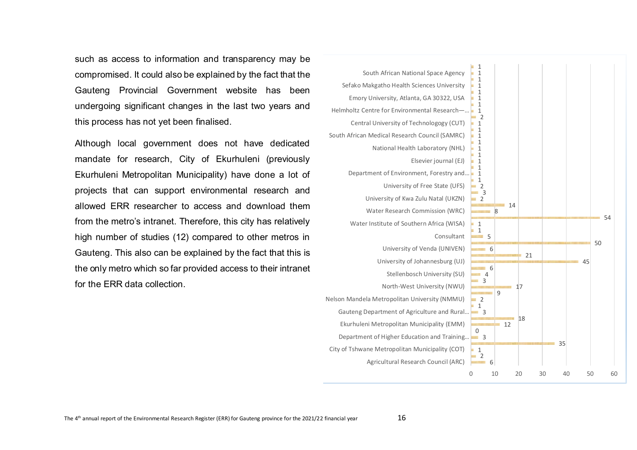such as access to information and transparency may be compromised. It could also be explained by the fact that the Gauteng Provincial Government website has been undergoing significant changes in the last two years and this process has not yet been finalised.

Although local government does not have dedicated mandate for research, City of Ekurhuleni (previously Ekurhuleni Metropolitan Municipality) have done a lot of projects that can support environmental research and allowed ERR researcher to access and download them from the metro's intranet. Therefore, this city has relatively high number of studies (12) compared to other metros in Gauteng. This also can be explained by the fact that this is the only metro which so far provided access to their intranet for the ERR data collection.

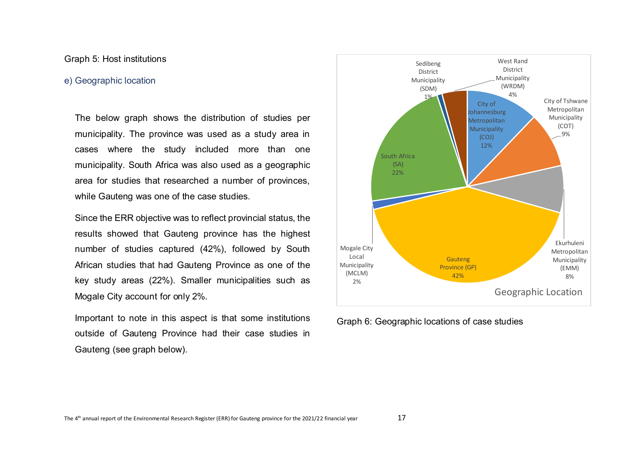## Graph 5: Host institutions

### <span id="page-19-0"></span>e) Geographic location

The below graph shows the distribution of studies per municipality. The province was used as a study area in cases where the study included more than one municipality. South Africa was also used as a geographic area for studies that researched a number of provinces, while Gauteng was one of the case studies.

Since the ERR objective was to reflect provincial status, the results showed that Gauteng province has the highest number of studies captured (42%), followed by South African studies that had Gauteng Province as one of the key study areas (22%). Smaller municipalities such as Mogale City account for only 2%.

Important to note in this aspect is that some institutions outside of Gauteng Province had their case studies in Gauteng (see graph below).



Graph 6: Geographic locations of case studies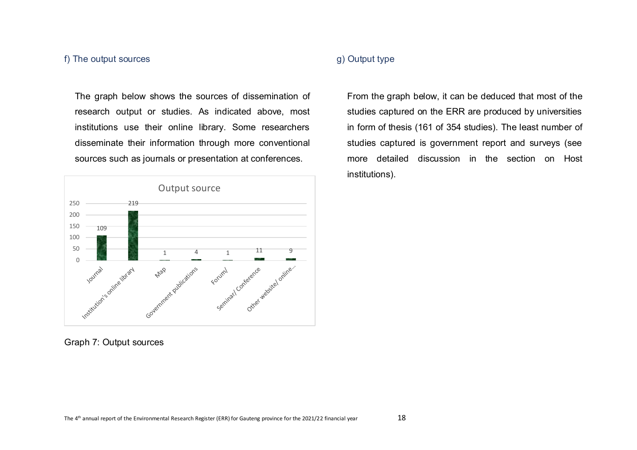# <span id="page-20-0"></span>f) The output sources

The graph below shows the sources of dissemination of research output or studies. As indicated above, most institutions use their online library. Some researchers disseminate their information through more conventional sources such as journals or presentation at conferences.



# <span id="page-20-1"></span>g) Output type

From the graph below, it can be deduced that most of the studies captured on the ERR are produced by universities in form of thesis (161 of 354 studies). The least number of studies captured is government report and surveys (see more detailed discussion in the section on Host institutions).

Graph 7: Output sources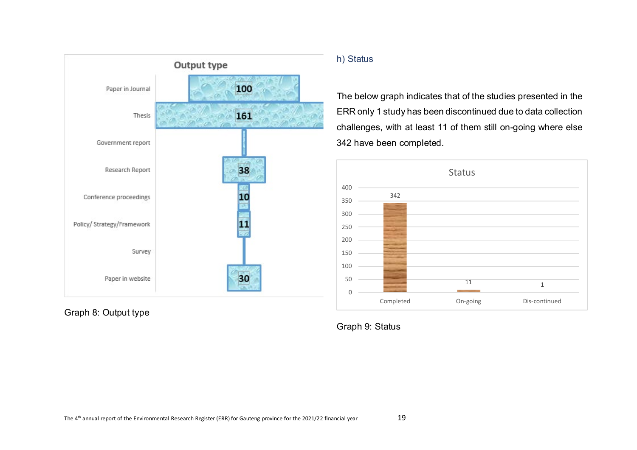

Graph 8: Output type

# <span id="page-21-0"></span>h) Status

The below graph indicates that of the studies presented in the ERR only 1 study has been discontinued due to data collection challenges, with at least 11 of them still on-going where else 342 have been completed.



Graph 9: Status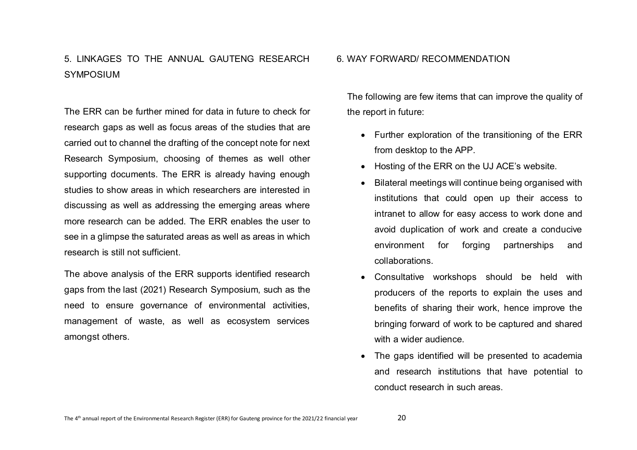# <span id="page-22-0"></span>5. LINKAGES TO THE ANNUAL GAUTENG RESEARCH **SYMPOSIUM**

The ERR can be further mined for data in future to check for research gaps as well as focus areas of the studies that are carried out to channel the drafting of the concept note for next Research Symposium, choosing of themes as well other supporting documents. The ERR is already having enough studies to show areas in which researchers are interested in discussing as well as addressing the emerging areas where more research can be added. The ERR enables the user to see in a glimpse the saturated areas as well as areas in which research is still not sufficient.

The above analysis of the ERR supports identified research gaps from the last (2021) Research Symposium, such as the need to ensure governance of environmental activities, management of waste, as well as ecosystem services amongst others.

#### <span id="page-22-1"></span>6. WAY FORWARD/ RECOMMENDATION

The following are few items that can improve the quality of the report in future:

- Further exploration of the transitioning of the ERR from desktop to the APP.
- Hosting of the ERR on the UJ ACE's website.
- Bilateral meetings will continue being organised with institutions that could open up their access to intranet to allow for easy access to work done and avoid duplication of work and create a conducive environment for forging partnerships and collaborations.
- Consultative workshops should be held with producers of the reports to explain the uses and benefits of sharing their work, hence improve the bringing forward of work to be captured and shared with a wider audience.
- The gaps identified will be presented to academia and research institutions that have potential to conduct research in such areas.